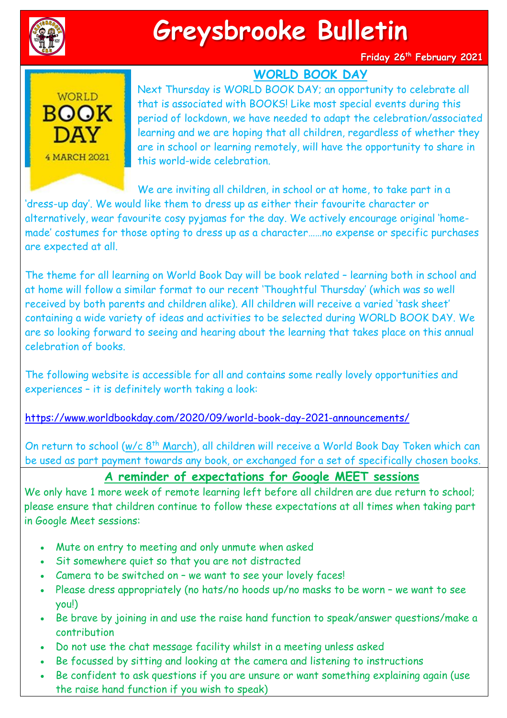

## **Greysbrooke Bulletin**

**Friday 26th February 2021**

## **WORLD BOOK DAY**



Next Thursday is WORLD BOOK DAY; an opportunity to celebrate all that is associated with BOOKS! Like most special events during this period of lockdown, we have needed to adapt the celebration/associated learning and we are hoping that all children, regardless of whether they are in school or learning remotely, will have the opportunity to share in this world-wide celebration.

We are inviting all children, in school or at home, to take part in a 'dress-up day'. We would like them to dress up as either their favourite character or alternatively, wear favourite cosy pyjamas for the day. We actively encourage original 'homemade' costumes for those opting to dress up as a character……no expense or specific purchases are expected at all.

The theme for all learning on World Book Day will be book related – learning both in school and at home will follow a similar format to our recent 'Thoughtful Thursday' (which was so well received by both parents and children alike). All children will receive a varied 'task sheet' containing a wide variety of ideas and activities to be selected during WORLD BOOK DAY. We are so looking forward to seeing and hearing about the learning that takes place on this annual celebration of books.

The following website is accessible for all and contains some really lovely opportunities and experiences – it is definitely worth taking a look:

<https://www.worldbookday.com/2020/09/world-book-day-2021-announcements/>

On return to school (w/c 8<sup>th</sup> March), all children will receive a World Book Day Token which can be used as part payment towards any book, or exchanged for a set of specifically chosen books.

## **A reminder of expectations for Google MEET sessions**

We only have 1 more week of remote learning left before all children are due return to school; please ensure that children continue to follow these expectations at all times when taking part in Google Meet sessions:

- Mute on entry to meeting and only unmute when asked
- Sit somewhere quiet so that you are not distracted
- Camera to be switched on we want to see your lovely faces!
- Please dress appropriately (no hats/no hoods up/no masks to be worn we want to see you!)
- . Be brave by joining in and use the raise hand function to speak/answer questions/make a contribution
- Do not use the chat message facility whilst in a meeting unless asked
- Be focussed by sitting and looking at the camera and listening to instructions
- Be confident to ask questions if you are unsure or want something explaining again (use the raise hand function if you wish to speak)